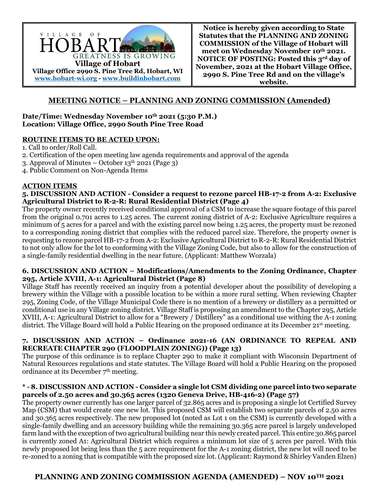

# **MEETING NOTICE – PLANNING AND ZONING COMMISSION (Amended)**

#### Date/Time: Wednesday November 10<sup>th</sup> 2021 (5:30 P.M.) **Location: Village Office, 2990 South Pine Tree Road**

# **ROUTINE ITEMS TO BE ACTED UPON:**

1. Call to order/Roll Call.

- 2. Certification of the open meeting law agenda requirements and approval of the agenda
- 3. Approval of Minutes October  $13<sup>th</sup>$  2021 (Page 3)
- 4. Public Comment on Non-Agenda Items

## **ACTION ITEMS**

#### **5. DISCUSSION AND ACTION - Consider a request to rezone parcel HB-17-2 from A-2: Exclusive Agricultural District to R-2-R: Rural Residential District (Page 4)**

The property owner recently received conditional approval of a CSM to increase the square footage of this parcel from the original 0.701 acres to 1.25 acres. The current zoning district of A-2: Exclusive Agriculture requires a minimum of 5 acres for a parcel and with the existing parcel now being 1.25 acres, the property must be rezoned to a corresponding zoning district that complies with the reduced parcel size. Therefore, the property owner is requesting to rezone parcel HB-17-2 from A-2: Exclusive Agricultural District to R-2-R: Rural Residential District to not only allow for the lot to conforming with the Village Zoning Code, but also to allow for the construction of a single-family residential dwelling in the near future. (Applicant: Matthew Worzala)

## **6. DISCUSSION AND ACTION – Modifications/Amendments to the Zoning Ordinance, Chapter 295, Article XVIII, A-1: Agricultural District (Page 8)**

Village Staff has recently received an inquiry from a potential developer about the possibility of developing a brewery within the Village with a possible location to be within a more rural setting. When reviewing Chapter 295, Zoning Code, of the Village Municipal Code there is no mention of a brewery or distillery as a permitted or conditional use in any Village zoning district. Village Staff is proposing an amendment to the Chapter 295, Article XVIII, A-1: Agricultural District to allow for a "Brewery / Distillery" as a conditional use withing the A-1 zoning district. The Village Board will hold a Public Hearing on the proposed ordinance at its December 21st meeting.

# **7. DISCUSSION AND ACTION – Ordinance 2021-16 (AN ORDINANCE TO REPEAL AND RECREATE CHAPTER 290 (FLOODPLAIN ZONING)) (Page 13)**

The purpose of this ordinance is to replace Chapter 290 to make it compliant with Wisconsin Department of Natural Resources regulations and state statutes. The Village Board will hold a Public Hearing on the proposed ordinance at its December 7<sup>th</sup> meeting.

#### **\* - 8. DISCUSSION AND ACTION - Consider a single lot CSM dividing one parcel into two separate parcels of 2.50 acres and 30.365 acres (1320 Geneva Drive, HB-416-2) (Page 57)**

The property owner currently has one larger parcel of 32.865 acres and is proposing a single lot Certified Survey Map (CSM) that would create one new lot. This proposed CSM will establish two separate parcels of 2.50 acres and 30.365 acres respectively. The new proposed lot (noted as Lot 1 on the CSM) is currently developed with a single-family dwelling and an accessory building while the remaining 30.365 acre parcel is largely undeveloped farm land with the exception of two agricultural building near this newly created parcel. This entire 30.865 parcel is currently zoned A1: Agricultural District which requires a minimum lot size of 5 acres per parcel. With this newly proposed lot being less than the 5 acre requirement for the A-1 zoning district, the new lot will need to be re-zoned to a zoning that is compatible with the proposed size lot. (Applicant: Raymond & Shirley Vanden Elzen)

# **PLANNING AND ZONING COMMISSION AGENDA (AMENDED) – NOV 10TH 2021**